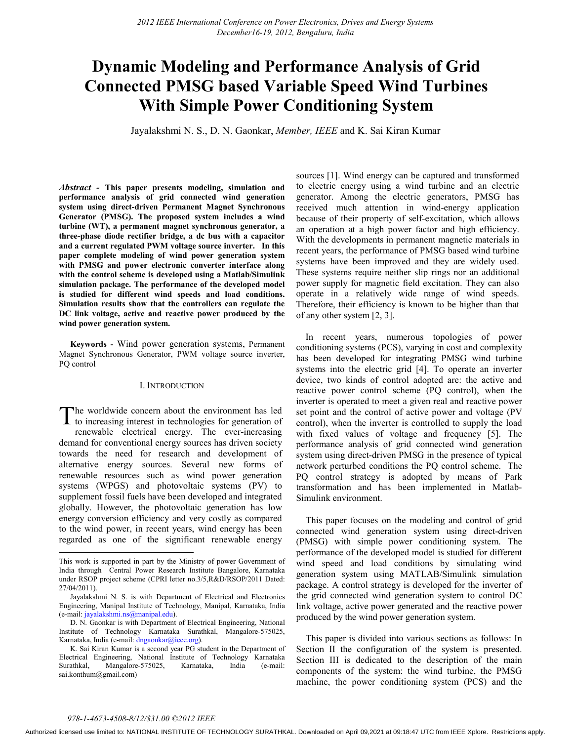# **Dynamic Modeling and Performance Analysis of Grid Connected PMSG based Variable Speed Wind Turbines With Simple Power Conditioning System**

Jayalakshmi N. S., D. N. Gaonkar, *Member, IEEE* and K. Sai Kiran Kumar

*Abstract -* **This paper presents modeling, simulation and performance analysis of grid connected wind generation system using direct-driven Permanent Magnet Synchronous Generator (PMSG). The proposed system includes a wind turbine (WT), a permanent magnet synchronous generator, a three-phase diode rectifier bridge, a dc bus with a capacitor and a current regulated PWM voltage source inverter. In this paper complete modeling of wind power generation system with PMSG and power electronic converter interface along with the control scheme is developed using a Matlab/Simulink simulation package. The performance of the developed model is studied for different wind speeds and load conditions. Simulation results show that the controllers can regulate the DC link voltage, active and reactive power produced by the wind power generation system.** 

**Keywords -** Wind power generation systems, Permanent Magnet Synchronous Generator, PWM voltage source inverter, PQ control

# I. INTRODUCTION

he worldwide concern about the environment has led The worldwide concern about the environment has led<br>to increasing interest in technologies for generation of renewable electrical energy. The ever-increasing demand for conventional energy sources has driven society towards the need for research and development of alternative energy sources. Several new forms of renewable resources such as wind power generation systems (WPGS) and photovoltaic systems (PV) to supplement fossil fuels have been developed and integrated globally. However, the photovoltaic generation has low energy conversion efficiency and very costly as compared to the wind power, in recent years, wind energy has been regarded as one of the significant renewable energy

sources [1]. Wind energy can be captured and transformed to electric energy using a wind turbine and an electric generator. Among the electric generators, PMSG has received much attention in wind-energy application because of their property of self-excitation, which allows an operation at a high power factor and high efficiency. With the developments in permanent magnetic materials in recent years, the performance of PMSG based wind turbine systems have been improved and they are widely used. These systems require neither slip rings nor an additional power supply for magnetic field excitation. They can also operate in a relatively wide range of wind speeds. Therefore, their efficiency is known to be higher than that of any other system [2, 3].

In recent years, numerous topologies of power conditioning systems (PCS), varying in cost and complexity has been developed for integrating PMSG wind turbine systems into the electric grid [4]. To operate an inverter device, two kinds of control adopted are: the active and reactive power control scheme (PQ control), when the inverter is operated to meet a given real and reactive power set point and the control of active power and voltage (PV control), when the inverter is controlled to supply the load with fixed values of voltage and frequency [5]. The performance analysis of grid connected wind generation system using direct-driven PMSG in the presence of typical network perturbed conditions the PQ control scheme. The PQ control strategy is adopted by means of Park transformation and has been implemented in Matlab-Simulink environment.

This paper focuses on the modeling and control of grid connected wind generation system using direct-driven (PMSG) with simple power conditioning system. The performance of the developed model is studied for different wind speed and load conditions by simulating wind generation system using MATLAB/Simulink simulation package. A control strategy is developed for the inverter of the grid connected wind generation system to control DC link voltage, active power generated and the reactive power produced by the wind power generation system.

This paper is divided into various sections as follows: In Section II the configuration of the system is presented. Section III is dedicated to the description of the main components of the system: the wind turbine, the PMSG machine, the power conditioning system (PCS) and the

 $\overline{a}$ 

This work is supported in part by the Ministry of power Government of India through Central Power Research Institute Bangalore, Karnataka under RSOP project scheme (CPRI letter no.3/5,R&D/RSOP/2011 Dated: 27/04/2011).

Jayalakshmi N. S. is with Department of Electrical and Electronics Engineering, Manipal Institute of Technology, Manipal, Karnataka, India (e-mail: jayalakshmi.ns@manipal.edu).

D. N. Gaonkar is with Department of Electrical Engineering, National Institute of Technology Karnataka Surathkal, Mangalore-575025, Karnataka, India (e-mail: dngaonkar@ieee.org).

K. Sai Kiran Kumar is a second year PG student in the Department of Electrical Engineering, National Institute of Technology Karnataka Surathkal, Mangalore-575025, Karnataka, India (e-mail: sai.konthum@gmail.com)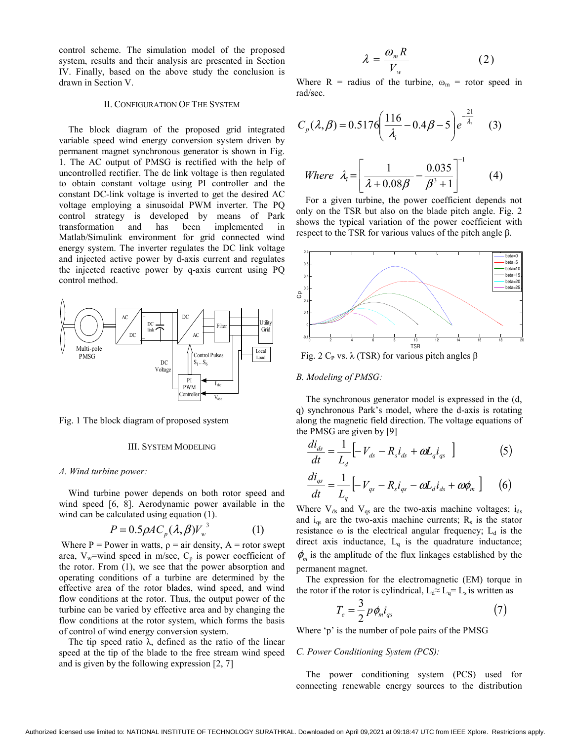control scheme. The simulation model of the proposed system, results and their analysis are presented in Section IV. Finally, based on the above study the conclusion is drawn in Section V.

## II. CONFIGURATION OF THE SYSTEM

The block diagram of the proposed grid integrated variable speed wind energy conversion system driven by permanent magnet synchronous generator is shown in Fig. 1. The AC output of PMSG is rectified with the help of uncontrolled rectifier. The dc link voltage is then regulated to obtain constant voltage using PI controller and the constant DC-link voltage is inverted to get the desired AC voltage employing a sinusoidal PWM inverter. The PQ control strategy is developed by means of Park transformation and has been implemented in Matlab/Simulink environment for grid connected wind energy system. The inverter regulates the DC link voltage and injected active power by d-axis current and regulates the injected reactive power by q-axis current using PQ control method.



Fig. 1 The block diagram of proposed system

## III. SYSTEM MODELING

#### *A. Wind turbine power:*

Wind turbine power depends on both rotor speed and wind speed [6, 8]. Aerodynamic power available in the wind can be calculated using equation (1).

$$
P = 0.5 \rho A C_p (\lambda, \beta) V_w^3 \tag{1}
$$

Where P = Power in watts,  $\rho = \text{air density}, A = \text{rotor swept}$ area,  $V_w$ =wind speed in m/sec,  $C_p$  is power coefficient of the rotor. From (1), we see that the power absorption and operating conditions of a turbine are determined by the effective area of the rotor blades, wind speed, and wind flow conditions at the rotor. Thus, the output power of the turbine can be varied by effective area and by changing the flow conditions at the rotor system, which forms the basis of control of wind energy conversion system.

The tip speed ratio  $\lambda$ , defined as the ratio of the linear speed at the tip of the blade to the free stream wind speed and is given by the following expression [2, 7]

$$
\lambda = \frac{\omega_m R}{V_w} \tag{2}
$$

Where R = radius of the turbine,  $\omega_m$  = rotor speed in rad/sec.

$$
C_p(\lambda, \beta) = 0.5176 \left( \frac{116}{\lambda_i} - 0.4\beta - 5 \right) e^{-\frac{21}{\lambda_i}} \quad (3)
$$
  
When  $\lambda = \begin{bmatrix} 1 & 0.035 \end{bmatrix}^{-1}$  (4)

Where 
$$
\lambda_i = \left[ \frac{1}{\lambda + 0.08\beta} - \frac{0.035}{\beta^3 + 1} \right]
$$
 (4)

For a given turbine, the power coefficient depends not only on the TSR but also on the blade pitch angle. Fig. 2 shows the typical variation of the power coefficient with respect to the TSR for various values of the pitch angle β.



Fig. 2 C<sub>P</sub> vs. λ (TSR) for various pitch angles β

## *B. Modeling of PMSG:*

The synchronous generator model is expressed in the (d, q) synchronous Park's model, where the d-axis is rotating along the magnetic field direction. The voltage equations of the PMSG are given by [9]

$$
\frac{di_{ds}}{dt} = \frac{1}{L_d} \left[ -V_{ds} - R_s i_{ds} + \omega L_q i_{qs} \right]
$$
 (5)  

$$
\frac{di_{qs}}{dt} = \frac{1}{L_q} \left[ -V_{qs} - R_s i_{qs} - \omega L_d i_{ds} + \omega \phi_m \right]
$$
 (6)

Where  $V_{ds}$  and  $V_{qs}$  are the two-axis machine voltages;  $i_{ds}$ and  $i_{\text{qs}}$  are the two-axis machine currents;  $R_s$  is the stator resistance  $\omega$  is the electrical angular frequency;  $L_d$  is the direct axis inductance,  $L_q$  is the quadrature inductance;  $\phi_m$  is the amplitude of the flux linkages established by the permanent magnet.

The expression for the electromagnetic (EM) torque in the rotor if the rotor is cylindrical,  $L_d \approx L_q = L_s$  is written as

$$
T_e = \frac{3}{2} p \phi_m i_{qs} \tag{7}
$$

Where 'p' is the number of pole pairs of the PMSG

## *C. Power Conditioning System (PCS):*

The power conditioning system (PCS) used for connecting renewable energy sources to the distribution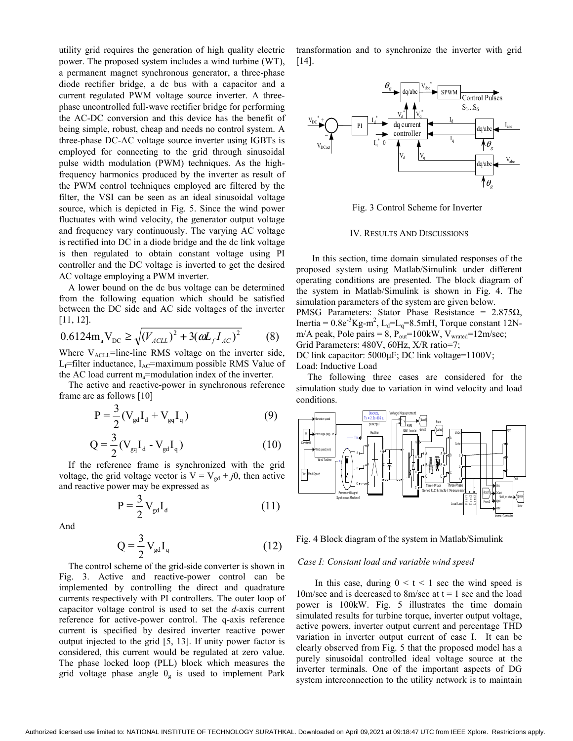utility grid requires the generation of high quality electric power. The proposed system includes a wind turbine (WT), a permanent magnet synchronous generator, a three-phase diode rectifier bridge, a dc bus with a capacitor and a current regulated PWM voltage source inverter. A threephase uncontrolled full-wave rectifier bridge for performing the AC-DC conversion and this device has the benefit of being simple, robust, cheap and needs no control system. A three-phase DC-AC voltage source inverter using IGBTs is employed for connecting to the grid through sinusoidal pulse width modulation (PWM) techniques. As the highfrequency harmonics produced by the inverter as result of the PWM control techniques employed are filtered by the filter, the VSI can be seen as an ideal sinusoidal voltage source, which is depicted in Fig. 5. Since the wind power fluctuates with wind velocity, the generator output voltage and frequency vary continuously. The varying AC voltage is rectified into DC in a diode bridge and the dc link voltage is then regulated to obtain constant voltage using PI controller and the DC voltage is inverted to get the desired AC voltage employing a PWM inverter.

A lower bound on the dc bus voltage can be determined from the following equation which should be satisfied between the DC side and AC side voltages of the inverter [11, 12].

$$
0.6124 m_a V_{DC} \ge \sqrt{(V_{ACLL})^2 + 3(\omega L_f I_{AC})^2}
$$
 (8)

Where  $V_{\text{ACL}}$ =line-line RMS voltage on the inverter side,  $L_f$ =filter inductance,  $I_{AC}$ =maximum possible RMS Value of the AC load current  $m_a$ =modulation index of the inverter.

 The active and reactive-power in synchronous reference frame are as follows [10]

$$
P = \frac{3}{2} (V_{gd} I_d + V_{gd} I_q)
$$
 (9)

$$
Q = \frac{3}{2} (V_{gd} I_d - V_{gd} I_q)
$$
 (10)

If the reference frame is synchronized with the grid voltage, the grid voltage vector is  $V = V_{gd} + j0$ , then active and reactive power may be expressed as

$$
P = \frac{3}{2} V_{gd} I_d
$$
 (11)

And

$$
Q = \frac{3}{2} V_{gd} I_q
$$
 (12)

The control scheme of the grid-side converter is shown in Fig. 3. Active and reactive-power control can be implemented by controlling the direct and quadrature currents respectively with PI controllers. The outer loop of capacitor voltage control is used to set the *d*-axis current reference for active-power control. The q-axis reference current is specified by desired inverter reactive power output injected to the grid [5, 13]. If unity power factor is considered, this current would be regulated at zero value. The phase locked loop (PLL) block which measures the grid voltage phase angle  $\theta_{g}$  is used to implement Park

transformation and to synchronize the inverter with grid [14].



Fig. 3 Control Scheme for Inverter

#### IV. RESULTS AND DISCUSSIONS

 In this section, time domain simulated responses of the proposed system using Matlab/Simulink under different operating conditions are presented. The block diagram of the system in Matlab/Simulink is shown in Fig. 4. The simulation parameters of the system are given below. PMSG Parameters: Stator Phase Resistance =  $2.875\Omega$ , Inertia =  $0.8e^{-3}Kg-m^2$ , L<sub>d</sub>=L<sub>q</sub>=8.5mH, Torque constant 12Nm/A peak, Pole pairs =  $8$ ,  $P_{\text{out}}$ =100kW,  $V_{\text{wrated}}$ =12m/sec; Grid Parameters: 480V, 60Hz, X/R ratio=7; DC link capacitor: 5000μF; DC link voltage=1100V;

Load: Inductive Load

The following three cases are considered for the simulation study due to variation in wind velocity and load conditions.



Fig. 4 Block diagram of the system in Matlab/Simulink

## *Case I: Constant load and variable wind speed*

In this case, during  $0 \le t \le 1$  sec the wind speed is 10m/sec and is decreased to 8m/sec at  $t = 1$  sec and the load power is 100kW. Fig. 5 illustrates the time domain simulated results for turbine torque, inverter output voltage, active powers, inverter output current and percentage THD variation in inverter output current of case I. It can be clearly observed from Fig. 5 that the proposed model has a purely sinusoidal controlled ideal voltage source at the inverter terminals. One of the important aspects of DG system interconnection to the utility network is to maintain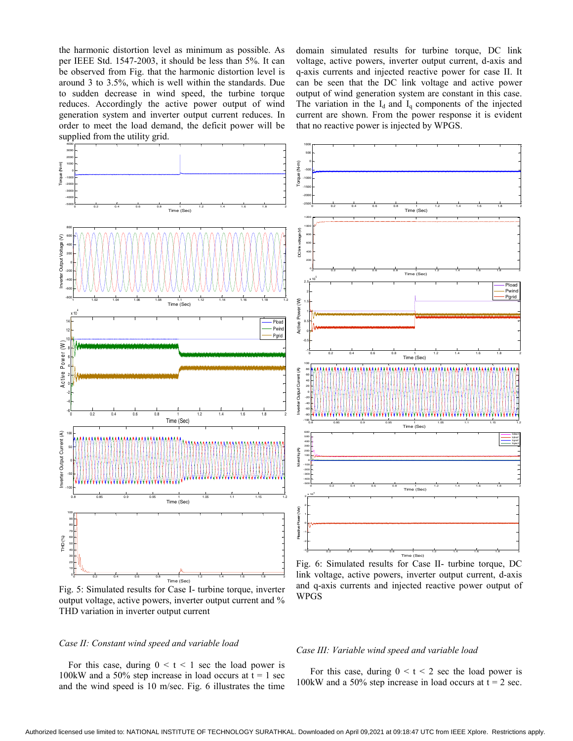the harmonic distortion level as minimum as possible. As per IEEE Std. 1547-2003, it should be less than 5%. It can be observed from Fig. that the harmonic distortion level is around 3 to 3.5%, which is well within the standards. Due to sudden decrease in wind speed, the turbine torque reduces. Accordingly the active power output of wind generation system and inverter output current reduces. In order to meet the load demand, the deficit power will be supplied from the utility grid.

domain simulated results for turbine torque, DC link voltage, active powers, inverter output current, d-axis and q-axis currents and injected reactive power for case II. It can be seen that the DC link voltage and active power output of wind generation system are constant in this case. The variation in the  $I_d$  and  $I_q$  components of the injected current are shown. From the power response it is evident that no reactive power is injected by WPGS.



Fig. 5: Simulated results for Case I- turbine torque, inverter output voltage, active powers, inverter output current and % THD variation in inverter output current

# *Case II: Constant wind speed and variable load*

For this case, during  $0 \le t \le 1$  sec the load power is 100kW and a 50% step increase in load occurs at  $t = 1$  sec and the wind speed is 10 m/sec. Fig. 6 illustrates the time

and q-axis currents and injected reactive power output of WPGS

## *Case III: Variable wind speed and variable load*

For this case, during  $0 \le t \le 2$  sec the load power is 100kW and a 50% step increase in load occurs at  $t = 2$  sec.